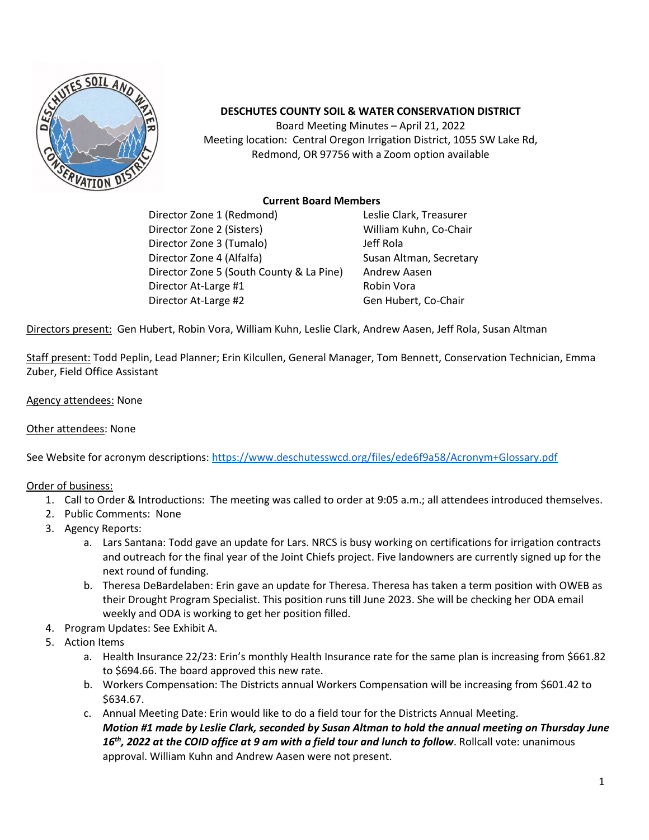

## **DESCHUTES COUNTY SOIL & WATER CONSERVATION DISTRICT**

Board Meeting Minutes – April 21, 2022 Meeting location: Central Oregon Irrigation District, 1055 SW Lake Rd, Redmond, OR 97756 with a Zoom option available

## **Current Board Members**

Director Zone 1 (Redmond) Leslie Clark, Treasurer Director Zone 2 (Sisters) William Kuhn, Co-Chair Director Zone 3 (Tumalo) Jeff Rola Director Zone 4 (Alfalfa) Susan Altman, Secretary Director Zone 5 (South County & La Pine) Andrew Aasen Director At-Large #1 Robin Vora Director At-Large #2 Gen Hubert, Co-Chair

Directors present: Gen Hubert, Robin Vora, William Kuhn, Leslie Clark, Andrew Aasen, Jeff Rola, Susan Altman

Staff present: Todd Peplin, Lead Planner; Erin Kilcullen, General Manager, Tom Bennett, Conservation Technician, Emma Zuber, Field Office Assistant

## Agency attendees: None

## Other attendees: None

See Website for acronym descriptions: https://www.deschutesswcd.org/files/ede6f9a58/Acronym+Glossary.pdf

Order of business:

- 1. Call to Order & Introductions: The meeting was called to order at 9:05 a.m.; all attendees introduced themselves.
- 2. Public Comments: None
- 3. Agency Reports:
	- a. Lars Santana: Todd gave an update for Lars. NRCS is busy working on certifications for irrigation contracts and outreach for the final year of the Joint Chiefs project. Five landowners are currently signed up for the next round of funding.
	- b. Theresa DeBardelaben: Erin gave an update for Theresa. Theresa has taken a term position with OWEB as their Drought Program Specialist. This position runs till June 2023. She will be checking her ODA email weekly and ODA is working to get her position filled.
- 4. Program Updates: See Exhibit A.
- 5. Action Items
	- a. Health Insurance 22/23: Erin's monthly Health Insurance rate for the same plan is increasing from \$661.82 to \$694.66. The board approved this new rate.
	- b. Workers Compensation: The Districts annual Workers Compensation will be increasing from \$601.42 to \$634.67.
	- c. Annual Meeting Date: Erin would like to do a field tour for the Districts Annual Meeting. *Motion #1 made by Leslie Clark, seconded by Susan Altman to hold the annual meeting on Thursday June 16th, 2022 at the COID office at 9 am with a field tour and lunch to follow*. Rollcall vote: unanimous approval. William Kuhn and Andrew Aasen were not present.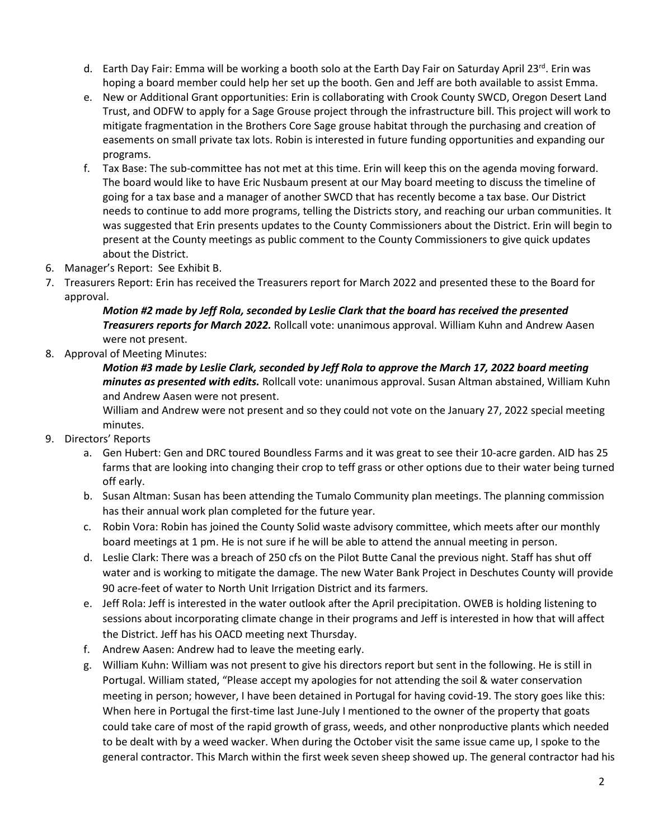- d. Earth Day Fair: Emma will be working a booth solo at the Earth Day Fair on Saturday April 23rd. Erin was hoping a board member could help her set up the booth. Gen and Jeff are both available to assist Emma.
- e. New or Additional Grant opportunities: Erin is collaborating with Crook County SWCD, Oregon Desert Land Trust, and ODFW to apply for a Sage Grouse project through the infrastructure bill. This project will work to mitigate fragmentation in the Brothers Core Sage grouse habitat through the purchasing and creation of easements on small private tax lots. Robin is interested in future funding opportunities and expanding our programs.
- f. Tax Base: The sub-committee has not met at this time. Erin will keep this on the agenda moving forward. The board would like to have Eric Nusbaum present at our May board meeting to discuss the timeline of going for a tax base and a manager of another SWCD that has recently become a tax base. Our District needs to continue to add more programs, telling the Districts story, and reaching our urban communities. It was suggested that Erin presents updates to the County Commissioners about the District. Erin will begin to present at the County meetings as public comment to the County Commissioners to give quick updates about the District.
- 6. Manager's Report: See Exhibit B.
- 7. Treasurers Report: Erin has received the Treasurers report for March 2022 and presented these to the Board for approval.

*Motion #2 made by Jeff Rola, seconded by Leslie Clark that the board has received the presented Treasurers reports for March 2022.* Rollcall vote: unanimous approval. William Kuhn and Andrew Aasen were not present.

8. Approval of Meeting Minutes:

*Motion #3 made by Leslie Clark, seconded by Jeff Rola to approve the March 17, 2022 board meeting minutes as presented with edits.* Rollcall vote: unanimous approval. Susan Altman abstained, William Kuhn and Andrew Aasen were not present.

William and Andrew were not present and so they could not vote on the January 27, 2022 special meeting minutes.

- 9. Directors' Reports
	- a. Gen Hubert: Gen and DRC toured Boundless Farms and it was great to see their 10-acre garden. AID has 25 farms that are looking into changing their crop to teff grass or other options due to their water being turned off early.
	- b. Susan Altman: Susan has been attending the Tumalo Community plan meetings. The planning commission has their annual work plan completed for the future year.
	- c. Robin Vora: Robin has joined the County Solid waste advisory committee, which meets after our monthly board meetings at 1 pm. He is not sure if he will be able to attend the annual meeting in person.
	- d. Leslie Clark: There was a breach of 250 cfs on the Pilot Butte Canal the previous night. Staff has shut off water and is working to mitigate the damage. The new Water Bank Project in Deschutes County will provide 90 acre-feet of water to North Unit Irrigation District and its farmers.
	- e. Jeff Rola: Jeff is interested in the water outlook after the April precipitation. OWEB is holding listening to sessions about incorporating climate change in their programs and Jeff is interested in how that will affect the District. Jeff has his OACD meeting next Thursday.
	- f. Andrew Aasen: Andrew had to leave the meeting early.
	- g. William Kuhn: William was not present to give his directors report but sent in the following. He is still in Portugal. William stated, "Please accept my apologies for not attending the soil & water conservation meeting in person; however, I have been detained in Portugal for having covid-19. The story goes like this: When here in Portugal the first-time last June-July I mentioned to the owner of the property that goats could take care of most of the rapid growth of grass, weeds, and other nonproductive plants which needed to be dealt with by a weed wacker. When during the October visit the same issue came up, I spoke to the general contractor. This March within the first week seven sheep showed up. The general contractor had his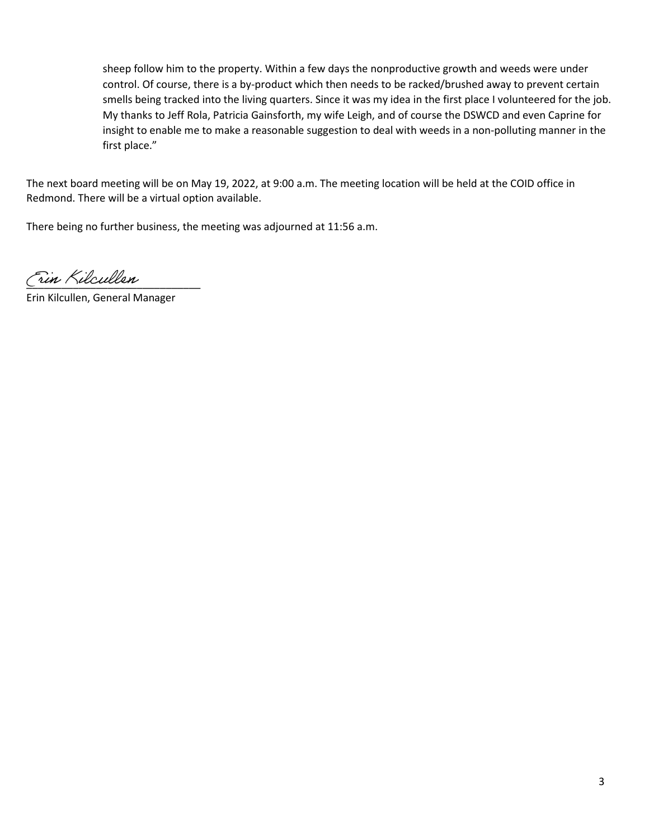sheep follow him to the property. Within a few days the nonproductive growth and weeds were under control. Of course, there is a by-product which then needs to be racked/brushed away to prevent certain smells being tracked into the living quarters. Since it was my idea in the first place I volunteered for the job. My thanks to Jeff Rola, Patricia Gainsforth, my wife Leigh, and of course the DSWCD and even Caprine for insight to enable me to make a reasonable suggestion to deal with weeds in a non-polluting manner in the first place."

The next board meeting will be on May 19, 2022, at 9:00 a.m. The meeting location will be held at the COID office in Redmond. There will be a virtual option available.

There being no further business, the meeting was adjourned at 11:56 a.m.

Fin Kilcullen

Erin Kilcullen, General Manager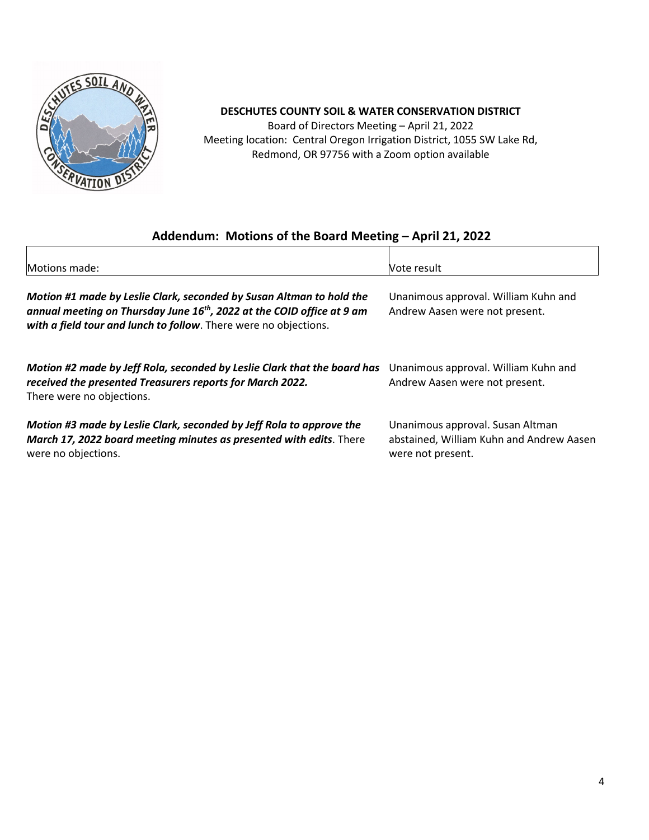

## **DESCHUTES COUNTY SOIL & WATER CONSERVATION DISTRICT**

Board of Directors Meeting – April 21, 2022 Meeting location: Central Oregon Irrigation District, 1055 SW Lake Rd, Redmond, OR 97756 with a Zoom option available

# **Addendum: Motions of the Board Meeting – April 21, 2022**

| Motions made:                                                                                                                                                                                                                  | Vote result                                                                                       |
|--------------------------------------------------------------------------------------------------------------------------------------------------------------------------------------------------------------------------------|---------------------------------------------------------------------------------------------------|
| Motion #1 made by Leslie Clark, seconded by Susan Altman to hold the<br>annual meeting on Thursday June 16 <sup>th</sup> , 2022 at the COID office at 9 am<br>with a field tour and lunch to follow. There were no objections. | Unanimous approval. William Kuhn and<br>Andrew Aasen were not present.                            |
| Motion #2 made by Jeff Rola, seconded by Leslie Clark that the board has<br>received the presented Treasurers reports for March 2022.<br>There were no objections.                                                             | Unanimous approval. William Kuhn and<br>Andrew Aasen were not present.                            |
| Motion #3 made by Leslie Clark, seconded by Jeff Rola to approve the<br>March 17, 2022 board meeting minutes as presented with edits. There<br>were no objections.                                                             | Unanimous approval. Susan Altman<br>abstained, William Kuhn and Andrew Aasen<br>were not present. |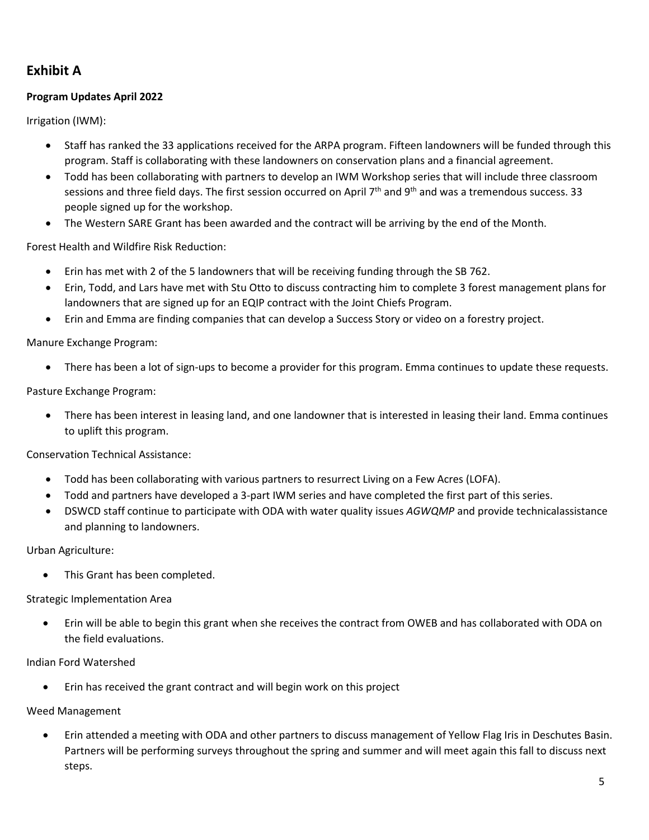# **Exhibit A**

## **Program Updates April 2022**

Irrigation (IWM):

- Staff has ranked the 33 applications received for the ARPA program. Fifteen landowners will be funded through this program. Staff is collaborating with these landowners on conservation plans and a financial agreement.
- Todd has been collaborating with partners to develop an IWM Workshop series that will include three classroom sessions and three field days. The first session occurred on April 7<sup>th</sup> and 9<sup>th</sup> and was a tremendous success. 33 people signed up for the workshop.
- The Western SARE Grant has been awarded and the contract will be arriving by the end of the Month.

Forest Health and Wildfire Risk Reduction:

- Erin has met with 2 of the 5 landowners that will be receiving funding through the SB 762.
- Erin, Todd, and Lars have met with Stu Otto to discuss contracting him to complete 3 forest management plans for landowners that are signed up for an EQIP contract with the Joint Chiefs Program.
- Erin and Emma are finding companies that can develop a Success Story or video on a forestry project.

Manure Exchange Program:

• There has been a lot of sign-ups to become a provider for this program. Emma continues to update these requests.

Pasture Exchange Program:

• There has been interest in leasing land, and one landowner that is interested in leasing their land. Emma continues to uplift this program.

Conservation Technical Assistance:

- Todd has been collaborating with various partners to resurrect Living on a Few Acres (LOFA).
- Todd and partners have developed a 3-part IWM series and have completed the first part of this series.
- DSWCD staff continue to participate with ODA with water quality issues *AGWQMP* and provide technicalassistance and planning to landowners.

Urban Agriculture:

This Grant has been completed.

Strategic Implementation Area

• Erin will be able to begin this grant when she receives the contract from OWEB and has collaborated with ODA on the field evaluations.

#### Indian Ford Watershed

• Erin has received the grant contract and will begin work on this project

Weed Management

• Erin attended a meeting with ODA and other partners to discuss management of Yellow Flag Iris in Deschutes Basin. Partners will be performing surveys throughout the spring and summer and will meet again this fall to discuss next steps.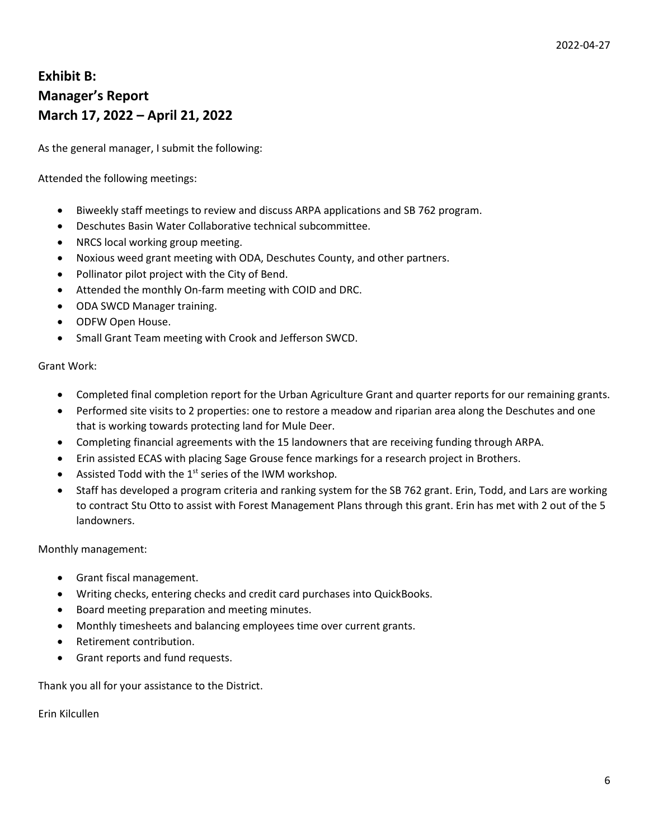# **Exhibit B: Manager's Report March 17, 2022 – April 21, 2022**

As the general manager, I submit the following:

## Attended the following meetings:

- Biweekly staff meetings to review and discuss ARPA applications and SB 762 program.
- Deschutes Basin Water Collaborative technical subcommittee.
- NRCS local working group meeting.
- Noxious weed grant meeting with ODA, Deschutes County, and other partners.
- Pollinator pilot project with the City of Bend.
- Attended the monthly On-farm meeting with COID and DRC.
- ODA SWCD Manager training.
- ODFW Open House.
- Small Grant Team meeting with Crook and Jefferson SWCD.

#### Grant Work:

- Completed final completion report for the Urban Agriculture Grant and quarter reports for our remaining grants.
- Performed site visits to 2 properties: one to restore a meadow and riparian area along the Deschutes and one that is working towards protecting land for Mule Deer.
- Completing financial agreements with the 15 landowners that are receiving funding through ARPA.
- Erin assisted ECAS with placing Sage Grouse fence markings for a research project in Brothers.
- Assisted Todd with the  $1<sup>st</sup>$  series of the IWM workshop.
- Staff has developed a program criteria and ranking system for the SB 762 grant. Erin, Todd, and Lars are working to contract Stu Otto to assist with Forest Management Plans through this grant. Erin has met with 2 out of the 5 landowners.

Monthly management:

- Grant fiscal management.
- Writing checks, entering checks and credit card purchases into QuickBooks.
- Board meeting preparation and meeting minutes.
- Monthly timesheets and balancing employees time over current grants.
- Retirement contribution.
- Grant reports and fund requests.

Thank you all for your assistance to the District.

Erin Kilcullen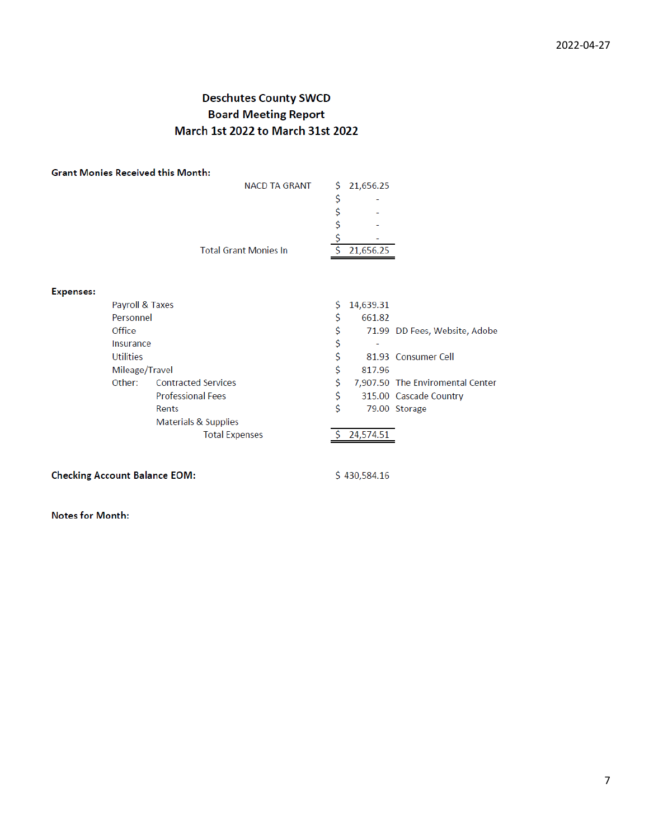## **Deschutes County SWCD Board Meeting Report** March 1st 2022 to March 31st 2022

|                  |                 | <b>Grant Monies Received this Month:</b> |    |           |                                  |
|------------------|-----------------|------------------------------------------|----|-----------|----------------------------------|
|                  |                 | <b>NACD TA GRANT</b>                     | \$ | 21,656.25 |                                  |
|                  |                 |                                          | \$ |           |                                  |
|                  |                 |                                          | \$ |           |                                  |
|                  |                 |                                          | \$ |           |                                  |
|                  |                 |                                          | \$ |           |                                  |
|                  |                 | <b>Total Grant Monies In</b>             |    | 21,656.25 |                                  |
|                  |                 |                                          |    |           |                                  |
|                  |                 |                                          |    |           |                                  |
| <b>Expenses:</b> |                 |                                          |    |           |                                  |
|                  | Payroll & Taxes |                                          | S  | 14,639.31 |                                  |
|                  | Personnel       |                                          | S  | 661.82    |                                  |
|                  | Office          |                                          | \$ |           | 71.99 DD Fees, Website, Adobe    |
|                  | Insurance       |                                          | \$ |           |                                  |
|                  | Utilities       |                                          | \$ |           | 81.93 Consumer Cell              |
|                  | Mileage/Travel  |                                          | Ś  | 817.96    |                                  |
|                  | Other:          | <b>Contracted Services</b>               | Ś  |           | 7,907.50 The Enviromental Center |
|                  |                 | <b>Professional Fees</b>                 | \$ |           | 315.00 Cascade Country           |
|                  |                 | Rents                                    | Ś  |           | 79.00 Storage                    |
|                  |                 | Materials & Supplies                     |    |           |                                  |
|                  |                 | <b>Total Expenses</b>                    |    | 24,574.51 |                                  |

## **Checking Account Balance EOM:**

\$430,584.16

**Notes for Month:**